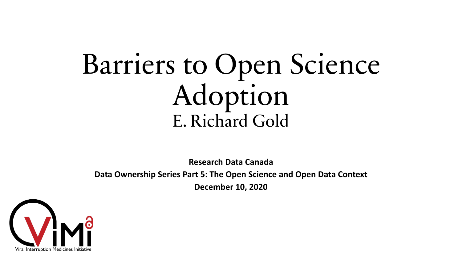# Barriers to Open Science Adoption E. Richard Gold

**Research Data Canada**

**Data Ownership Series Part 5: The Open Science and Open Data Context December 10, 2020**

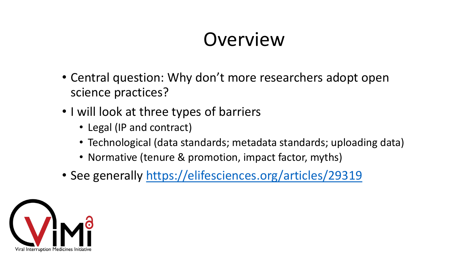### Overview

- Central question: Why don't more researchers adopt open science practices?
- I will look at three types of barriers
	- Legal (IP and contract)
	- Technological (data standards; metadata standards; uploading data)
	- Normative (tenure & promotion, impact factor, myths)
- See generally<https://elifesciences.org/articles/29319>

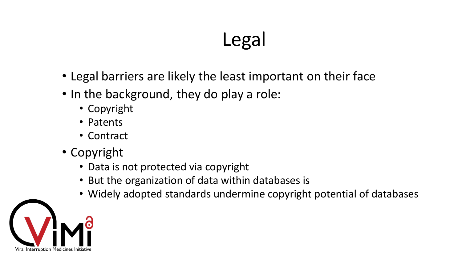## Legal

- Legal barriers are likely the least important on their face
- In the background, they do play a role:
	- Copyright
	- Patents
	- Contract
- Copyright
	- Data is not protected via copyright
	- But the organization of data within databases is
	- Widely adopted standards undermine copyright potential of databases

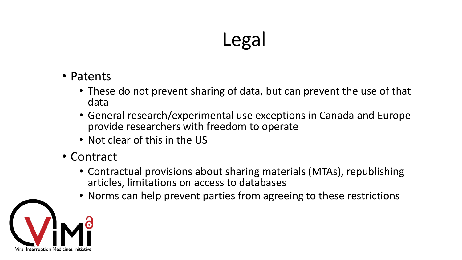### Legal

- Patents
	- These do not prevent sharing of data, but can prevent the use of that data
	- General research/experimental use exceptions in Canada and Europe provide researchers with freedom to operate
	- Not clear of this in the US
- Contract
	- Contractual provisions about sharing materials (MTAs), republishing articles, limitations on access to databases
	- Norms can help prevent parties from agreeing to these restrictions

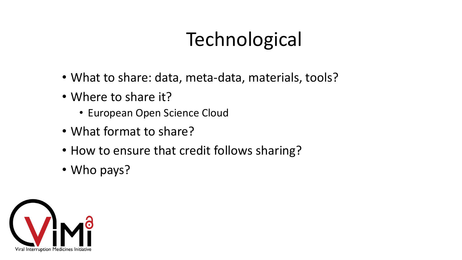# **Technological**

- What to share: data, meta-data, materials, tools?
- Where to share it?
	- European Open Science Cloud
- What format to share?
- How to ensure that credit follows sharing?
- Who pays?

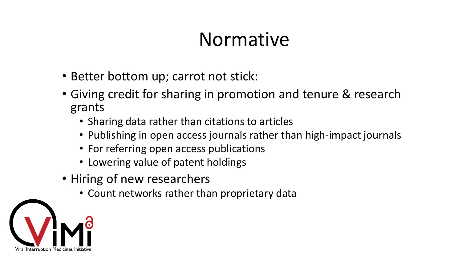#### Normative

- Better bottom up; carrot not stick:
- Giving credit for sharing in promotion and tenure & research grants
	- Sharing data rather than citations to articles
	- Publishing in open access journals rather than high-impact journals
	- For referring open access publications
	- Lowering value of patent holdings
- Hiring of new researchers
	- Count networks rather than proprietary data

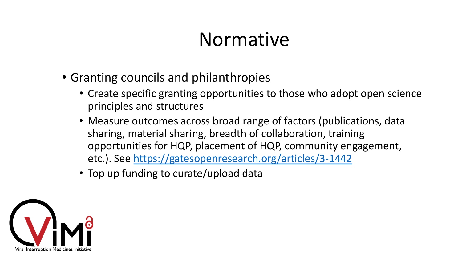#### Normative

- Granting councils and philanthropies
	- Create specific granting opportunities to those who adopt open science principles and structures
	- Measure outcomes across broad range of factors (publications, data sharing, material sharing, breadth of collaboration, training opportunities for HQP, placement of HQP, community engagement, etc.). See<https://gatesopenresearch.org/articles/3-1442>
	- Top up funding to curate/upload data

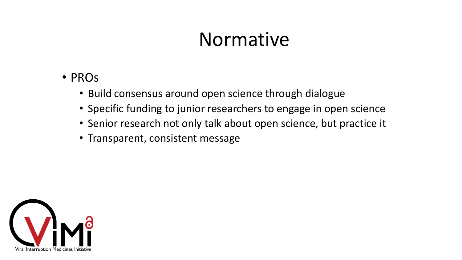#### Normative

- PROs
	- Build consensus around open science through dialogue
	- Specific funding to junior researchers to engage in open science
	- Senior research not only talk about open science, but practice it
	- Transparent, consistent message